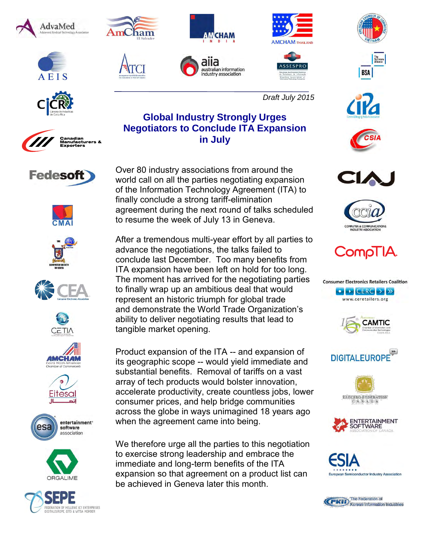





































*Draft July 2015*





























Over 80 industry associations from around the world call on all the parties negotiating expansion of the Information Technology Agreement (ITA) to finally conclude a strong tariff-elimination agreement during the next round of talks scheduled to resume the week of July 13 in Geneva.

After a tremendous multi-year effort by all parties to advance the negotiations, the talks failed to conclude last December. Too many benefits from ITA expansion have been left on hold for too long. The moment has arrived for the negotiating parties to finally wrap up an ambitious deal that would represent an historic triumph for global trade and demonstrate the World Trade Organization's ability to deliver negotiating results that lead to tangible market opening.

Product expansion of the ITA -- and expansion of its geographic scope -- would yield immediate and substantial benefits. Removal of tariffs on a vast array of tech products would bolster innovation, accelerate productivity, create countless jobs, lower consumer prices, and help bridge communities across the globe in ways unimagined 18 years ago when the agreement came into being.

We therefore urge all the parties to this negotiation to exercise strong leadership and embrace the immediate and long-term benefits of the ITA expansion so that agreement on a product list can be achieved in Geneva later this month.

**Global Industry Strongly Urges Negotiators to Conclude ITA Expansion**

**in July**